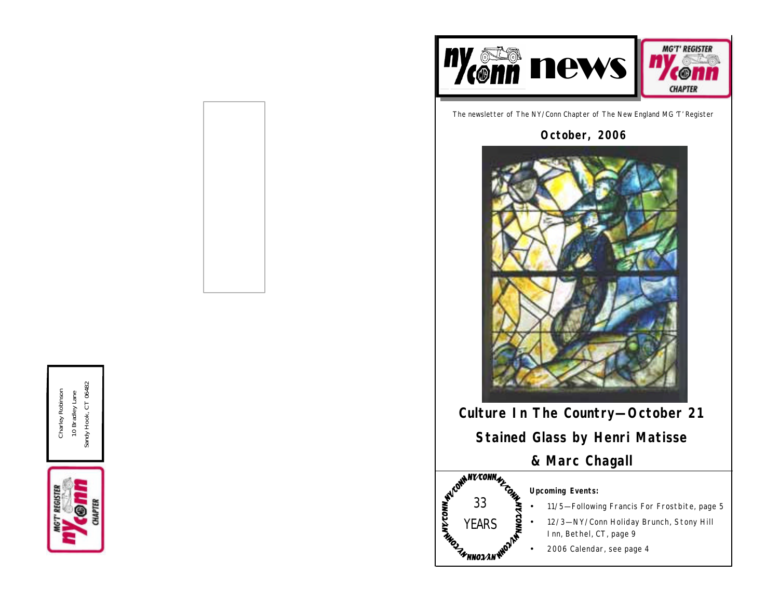

The newsletter of The NY/Conn Chapter of The New England MG 'T' Register

**October, 2006**



**Culture In The Country—October 21**

**Stained Glass by Henri Matisse**

**& Marc Chagall**



### **Upcoming Events:**

- 11/5—Following Francis For Frostbite, page 5
- 12/3—NY/Conn Holiday Brunch, Stony Hill Inn, Bethel, CT, page 9
- 2006 Calendar, see page 4

Sandy Hook, CT 06482 Sandy Hook, CT 06482 Charley Robinson Charley Robinson 10 Bradley Lane 10 Bradley Lane

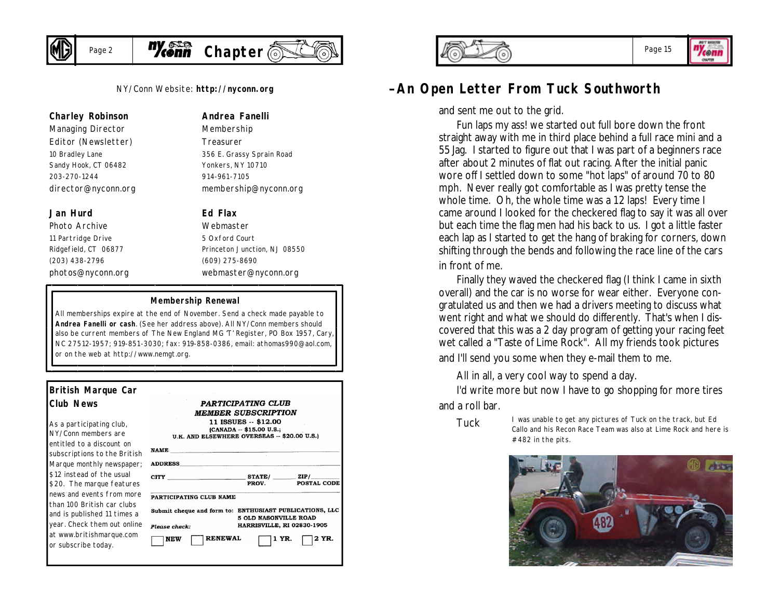

NY/Conn Website: **http://nyconn.org**

#### **Charley Robinson**

*Managing Director Editor (Newsletter)* 10 Bradley Lane Sandy Hook, CT 06482 203-270-1244 director@nyconn.org

#### **Jan Hurd**

*Photo Archive* 11 Partridge Drive Ridgefield, CT 06877 (203) 438-2796 photos@nyconn.org *Membership Treasurer* 356 E. Grassy Sprain Road Yonkers, NY 10710

**Andrea Fanelli**

914-961-7105 membership@nyconn.org

#### **Ed Flax**

*Webmaster* 5 Oxford Court Princeton Junction, NJ 08550 (609) 275-8690 webmaster@nyconn.org

#### **Membership Renewal**

All memberships expire at the end of November. Send a check made payable to **Andrea Fanelli or cash**. (See her address above). All NY/Conn members should also be current members of The New England MG 'T' Register, PO Box 1957, Cary, NC 27512-1957; 919-851-3030; fax: 919-858-0386, email: athomas990@aol.com, or on the web at http://www.nemgt.org.

| <b>British Marque Car</b>                                                    |                                                                                                          |  |  |  |  |
|------------------------------------------------------------------------------|----------------------------------------------------------------------------------------------------------|--|--|--|--|
| <b>Club News</b>                                                             | PARTICIPATING CLUB<br><b>MEMBER SUBSCRIPTION</b>                                                         |  |  |  |  |
| As a participating club,<br>NY/Conn members are<br>entitled to a discount on | 11 ISSUES -- \$12.00<br>(CANADA -- \$15.00 U.S.;<br>U.K. AND ELSEWHERE OVERSEAS -- \$20.00 U.S.)<br>NAME |  |  |  |  |
| subscriptions to the British<br>Marque monthly newspaper;                    | <b>ADDRESS_</b>                                                                                          |  |  |  |  |
| \$12 instead of the usual<br>\$20. The marque features                       | $CITY$ $STATE/$ $ZIP/$<br>POSTAL CODE<br>PROV.                                                           |  |  |  |  |
| news and events from more                                                    | PARTICIPATING CLUB NAME                                                                                  |  |  |  |  |
| than 100 British car clubs<br>and is published 11 times a                    | Submit cheque and form to: ENTHUSIAST PUBLICATIONS, LLC<br><b>5 OLD NASONVILLE ROAD</b>                  |  |  |  |  |
| year. Check them out online                                                  | HARRISVILLE, RI 02830-1905<br>Please check:                                                              |  |  |  |  |
| at www.britishmarque.com<br>or subscribe today.                              | <b>RENEWAL</b><br>2 YR.<br>1 YR.<br>NEW                                                                  |  |  |  |  |



#### Page 15

**Zeenn** OWNER

### **—An Open Letter From Tuck Southworth**

and sent me out to the grid.

Fun laps my ass! we started out full bore down the front straight away with me in third place behind a full race mini and a 55 Jag. I started to figure out that I was part of a beginners race after about 2 minutes of flat out racing. After the initial panic wore off I settled down to some "hot laps" of around 70 to 80 mph. Never really got comfortable as I was pretty tense the whole time. Oh, the whole time was a 12 laps! Every time I came around I looked for the checkered flag to say it was all over but each time the flag men had his back to us. I got a little faster each lap as I started to get the hang of braking for corners, down shifting through the bends and following the race line of the cars in front of me.

Finally they waved the checkered flag (I think I came in sixth overall) and the car is no worse for wear either. Everyone congratulated us and then we had a drivers meeting to discuss what went right and what we should do differently. That's when I discovered that this was a 2 day program of getting your racing feet wet called a "Taste of Lime Rock". All my friends took pictures and I'll send you some when they e-mail them to me.

All in all, a very cool way to spend a day.

I'd write more but now I have to go shopping for more tires and a roll bar.



TUCK I was unable to get any pictures of Tuck on the track, but Ed Callo and his Recon Race Team was also at Lime Rock and here is  $#482$  in the pits.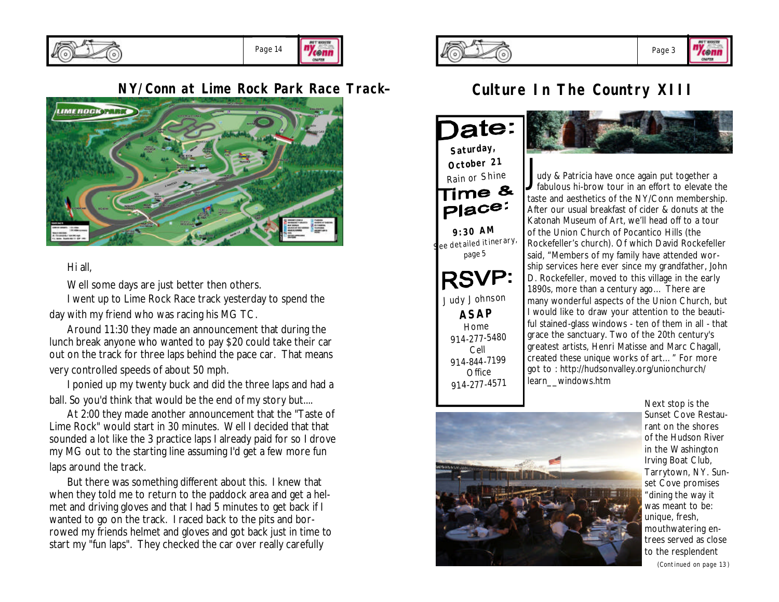

### **NY/Conn at Lime Rock Park Race Track—**



#### Hi all,

Well some days are just better then others.

I went up to Lime Rock Race track yesterday to spend the day with my friend who was racing his MG TC.

Around 11:30 they made an announcement that during the lunch break anyone who wanted to pay \$20 could take their car out on the track for three laps behind the pace car. That means very controlled speeds of about 50 mph.

I ponied up my twenty buck and did the three laps and had a ball. So you'd think that would be the end of my story but....

At 2:00 they made another announcement that the "Taste of Lime Rock" would start in 30 minutes. Well I decided that that sounded a lot like the 3 practice laps I already paid for so I drove my MG out to the starting line assuming I'd get a few more fun laps around the track.

But there was something different about this. I knew that when they told me to return to the paddock area and get a helmet and driving gloves and that I had 5 minutes to get back if I wanted to go on the track. I raced back to the pits and borrowed my friends helmet and gloves and got back just in time to start my "fun laps". They checked the car over really carefully



### **Culture In The Country XIII**

)ate: *Saturday, October <sup>21</sup>* **Rain or Shine** Place: *9:30 AM See detailed itinerary, page 5 Judy Johnson ASAP* Home 914-277-5480 Cell 914-844-7199 Office 914-277-4571



J udy & Patricia have once again put together a fabulous hi-brow tour in an effort to elevate the taste and aesthetics of the NY/Conn membership. After our usual breakfast of cider & donuts at the Katonah Museum of Art, we'll head off to a tour of the Union Church of Pocantico Hills (the Rockefeller's church). Of which David Rockefeller said, "Members of my family have attended worship services here ever since my grandfather, John D. Rockefeller, moved to this village in the early 1890s, more than a century ago… There are many wonderful aspects of the Union Church, but I would like to draw your attention to the beautiful stained-glass windows - ten of them in all - that grace the sanctuary. Two of the 20th century's greatest artists, Henri Matisse and Marc Chagall, created these unique works of art…" For more got to : http://hudsonvalley.org/unionchurch/ learn\_\_windows.htm



Next stop is the Sunset Cove Restaurant on the shores of the Hudson River in the Washington Irving Boat Club, Tarrytown, NY. Sunset Cove promises "dining the way it was meant to be: unique, fresh, mouthwatering entrees served as close to the resplendent *(Continued on page 13)*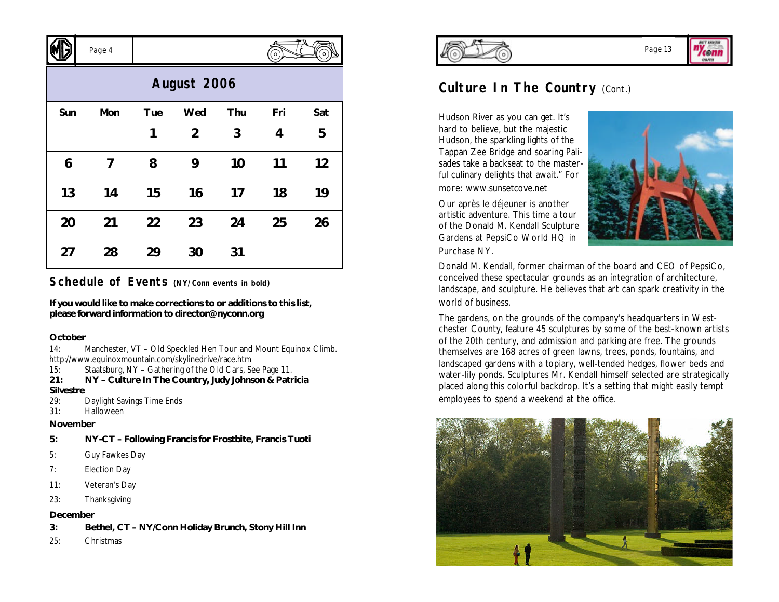|             | Page 4 |     |                |     | $\circ$ |     |  |
|-------------|--------|-----|----------------|-----|---------|-----|--|
| August 2006 |        |     |                |     |         |     |  |
| Sun         | Mon    | Tue | Wed            | Thu | Fri     | Sat |  |
|             |        | 1   | $\overline{2}$ | 3   | 4       | 5   |  |
| 6           | 7      | 8   | 9              | 10  | 11      | 12  |  |
| 13          | 14     | 15  | 16             | 17  | 18      | 19  |  |
| 20          | 21     | 22  | 23             | 24  | 25      | 26  |  |
| 27          | 28     | 29  | 30             | 31  |         |     |  |

#### **Schedule of Events (NY/Conn events in bold)**

**If you would like to make corrections to or additions to this list, please forward information to director@nyconn.org**

#### **October**

 $\sqrt{N}$ 

14: Manchester, VT – Old Speckled Hen Tour and Mount Equinox Climb. http://www.equinoxmountain.com/skylinedrive/race.htm

- 15: Staatsburg, NY Gathering of the Old Cars, See Page 11.
- **21: NY Culture In The Country, Judy Johnson & Patricia Silvestre**
- 29: Daylight Savings Time Ends
- 31: Halloween

#### **November**

- **5: NY-CT Following Francis for Frostbite, Francis Tuoti**
- 5: Guy Fawkes Day
- 7: Election Day
- 11: Veteran's Day
- 23: Thanksgiving

#### **December**

- **3: Bethel, CT NY/Conn Holiday Brunch, Stony Hill Inn**
- 25: Christmas



### **Culture In The Country (Cont.)**

Hudson River as you can get. It's hard to believe, but the majestic Hudson, the sparkling lights of the Tappan Zee Bridge and soaring Palisades take a backseat to the masterful culinary delights that await." For more: www.sunsetcove.net

Our après le déjeuner is another artistic adventure. This time a tour of the Donald M. Kendall Sculpture Gardens at PepsiCo World HQ in Purchase NY.



Donald M. Kendall, former chairman of the board and CEO of PepsiCo, conceived these spectacular grounds as an integration of architecture, landscape, and sculpture. He believes that art can spark creativity in the world of business.

The gardens, on the grounds of the company's headquarters in Westchester County, feature 45 sculptures by some of the best-known artists of the 20th century, and admission and parking are free. The grounds themselves are 168 acres of green lawns, trees, ponds, fountains, and landscaped gardens with a topiary, well-tended hedges, flower beds and water-lily ponds. Sculptures Mr. Kendall himself selected are strategically placed along this colorful backdrop. It's a setting that might easily tempt employees to spend a weekend at the office.



Page 13

"Yconn OWNER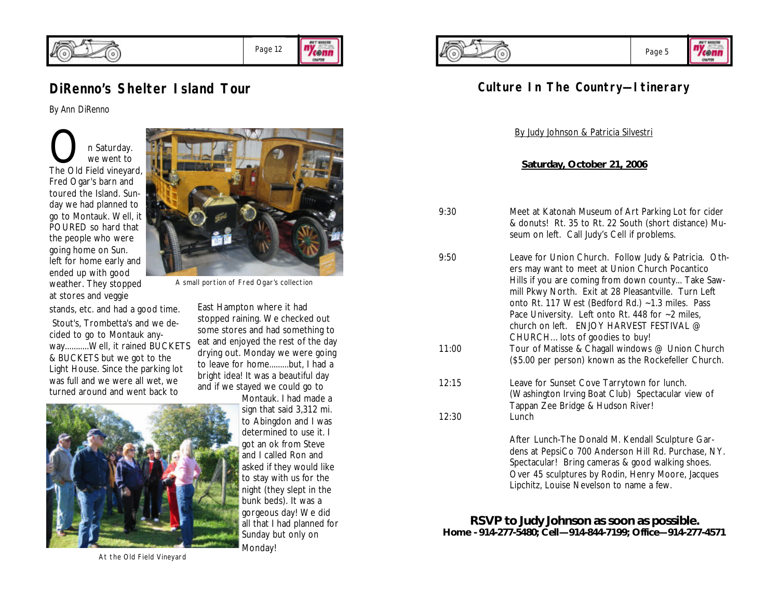

#### ny<sub>cenn</sub> Page 12 OWNER

### **DiRenno's Shelter Island Tour**

*By Ann DiRenno*

On Saturday.<br>The Old Field vineyard, we went to Fred Ogar's barn and toured the Island. Sunday we had planned to go to Montauk. Well, it POURED so hard that the people who were going home on Sun. left for home early and ended up with good weather. They stopped at stores and veggie

stands, etc. and had a good time. Stout's, Trombetta's and we decided to go to Montauk anyway...........Well, it rained BUCKETS & BUCKETS but we got to the Light House. Since the parking lot was full and we were all wet, we turned around and went back to



Montauk. I had made a sign that said 3,312 mi. to Abingdon and I was determined to use it. I got an ok from Steve and I called Ron and asked if they would like to stay with us for the night (they slept in the bunk beds). It was a gorgeous day! We did all that I had planned for Sunday but only on





### **Culture In The Country—Itinerary**

By Judy Johnson & Patricia Silvestri

#### **Saturday, October 21, 2006**

- 9:30 Meet at Katonah Museum of Art Parking Lot for cider & donuts! Rt. 35 to Rt. 22 South (short distance) Museum on left. Call Judy's Cell if problems.
- 9:50 Leave for Union Church. Follow Judy & Patricia. Others may want to meet at Union Church Pocantico Hills if you are coming from down county... Take Sawmill Pkwy North. Exit at 28 Pleasantville. Turn Left onto Rt. 117 West (Bedford Rd.) ~1.3 miles. Pass Pace University. Left onto Rt. 448 for ~2 miles. church on left. ENJOY HARVEST FESTIVAL @ CHURCH…lots of goodies to buy! 11:00 Tour of Matisse & Chagall windows @ Union Church (\$5.00 per person) known as the Rockefeller Church.
- 12:15 Leave for Sunset Cove Tarrytown for lunch. (Washington Irving Boat Club) Spectacular view of Tappan Zee Bridge & Hudson River! 12:30 Lunch

After Lunch-The Donald M. Kendall Sculpture Gardens at PepsiCo 700 Anderson Hill Rd. Purchase, NY. Spectacular! Bring cameras & good walking shoes. Over 45 sculptures by Rodin, Henry Moore, Jacques Lipchitz, Louise Nevelson to name a few.

**RSVP to Judy Johnson as soon as possible. Home - 914-277-5480; Cell—914-844-7199; Office—914-277-4571**

At the Old Field Vineyard



A small portion of Fred Ogar's collection

East Hampton where it had stopped raining. We checked out some stores and had something to eat and enjoyed the rest of the day drying out. Monday we were going to leave for home.........but, I had a bright idea! It was a beautiful day and if we stayed we could go to

Monday!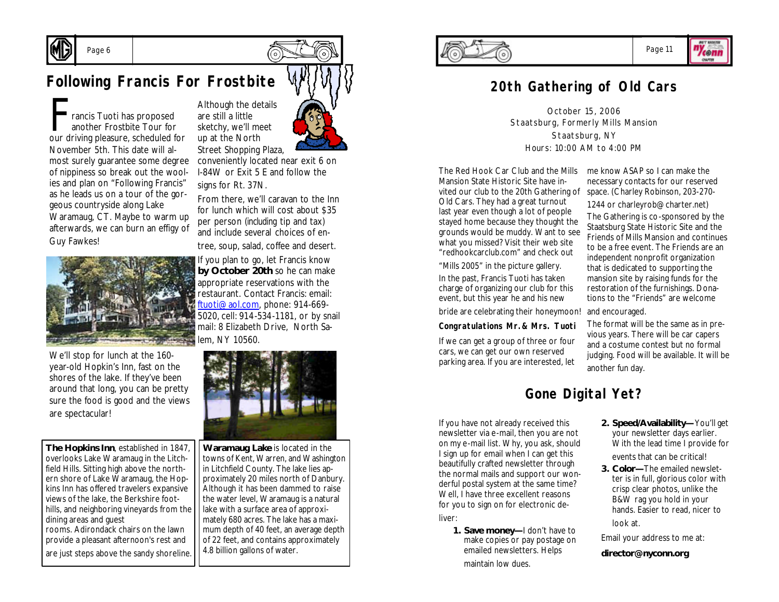

### **Following Francis For Frostbite**

Francis Tuoti has proposed<br>another Frostbite Tour for<br>our driving pleasure, scheduled for rancis Tuoti has proposed another Frostbite Tour for November 5th. This date will almost surely guarantee some degree of nippiness so break out the woolies and plan on "Following Francis" as he leads us on a tour of the gorgeous countryside along Lake Waramaug, CT. Maybe to warm up afterwards, we can burn an effigy of Guy Fawkes!



We'll stop for lunch at the 160 year-old Hopkin's Inn, fast on the shores of the lake. If they've been around that long, you can be pretty sure the food is good and the views are spectacular!

**The Hopkins Inn**, established in 1847, overlooks Lake Waramaug in the Litchfield Hills. Sitting high above the northern shore of Lake Waramaug, the Hopkins Inn has offered travelers expansive views of the lake, the Berkshire foothills, and neighboring vineyards from the dining areas and guest rooms. Adirondack chairs on the lawn provide a pleasant afternoon's rest and are just steps above the sandy shoreline.



conveniently located near exit 6 on I-84W or Exit 5 E and follow the signs for Rt. 37N.

From there, we'll caravan to the Inn for lunch which will cost about \$35 per person (*including* tip and tax) and include several choices of entree, soup, salad, coffee and desert.

If you plan to go, let Francis know **by October 20th** so he can make appropriate reservations with the restaurant. Contact Francis: email: ftuoti@aol.com, phone: 914-669- 5020, cell: 914-534-1181, or by snail mail: 8 Elizabeth Drive, North Salem, NY 10560.



**Waramaug Lake** is located in the towns of Kent, Warren, and Washington in Litchfield County. The lake lies approximately 20 miles north of Danbury. Although it has been dammed to raise the water level, Waramaug is a natural lake with a surface area of approximately 680 acres. The lake has a maximum depth of 40 feet, an average depth of 22 feet, and contains approximately 4.8 billion gallons of water.



### Page 11

"Yeonn OWNER

### **20th Gathering of Old Cars**

October 15, 2006 Staatsburg, Formerly Mills Mansion Staatsburg, NY Hours: 10:00 AM to 4:00 PM

The Red Hook Car Club and the Mills me know ASAP so I can make the Mansion State Historic Site have invited our club to the 20th Gathering of Old Cars. They had a great turnout last year even though a lot of people stayed home because they thought the grounds would be muddy. Want to see what you missed? Visit their web site "redhookcarclub.com" and check out

"Mills 2005" in the picture gallery. In the past, Francis Tuoti has taken charge of organizing our club for this event, but this year he and his new

bride are celebrating their honeymoon! and encouraged.

#### **Congratulations Mr.& Mrs. Tuoti**

If we can get a group of three or four cars, we can get our own reserved parking area. If you are interested, let

necessary contacts for our reserved space. (Charley Robinson, 203-270-

1244 or charleyrob@charter.net) The Gathering is co-sponsored by the Staatsburg State Historic Site and the Friends of Mills Mansion and continues to be a free event. The Friends are an independent nonprofit organization that is dedicated to supporting the mansion site by raising funds for the restoration of the furnishings. Donations to the "Friends" are welcome

The format will be the same as in previous years. There will be car capers and a costume contest but no formal judging. Food will be available. It will be another fun day.

### **Gone Digital Yet?**

If you have not already received this newsletter via e-mail, then you are not on my e-mail list. Why, you ask, should I sign up for email when I can get this beautifully crafted newsletter through the normal mails and support our wonderful postal system at the same time? Well, I have three excellent reasons for you to sign on for electronic deliver:

**1. Save money—**I don't have to make copies or pay postage on emailed newsletters. Helps maintain low dues.

**2. Speed/Availability—**You'll get your newsletter days earlier. With the lead time I provide for events that can be critical!

**3. Color—**The emailed newsletter is in full, glorious color with crisp clear photos, unlike the B&W rag you hold in your hands. Easier to read, nicer to look at.

Email your address to me at:

**director@nyconn.org**

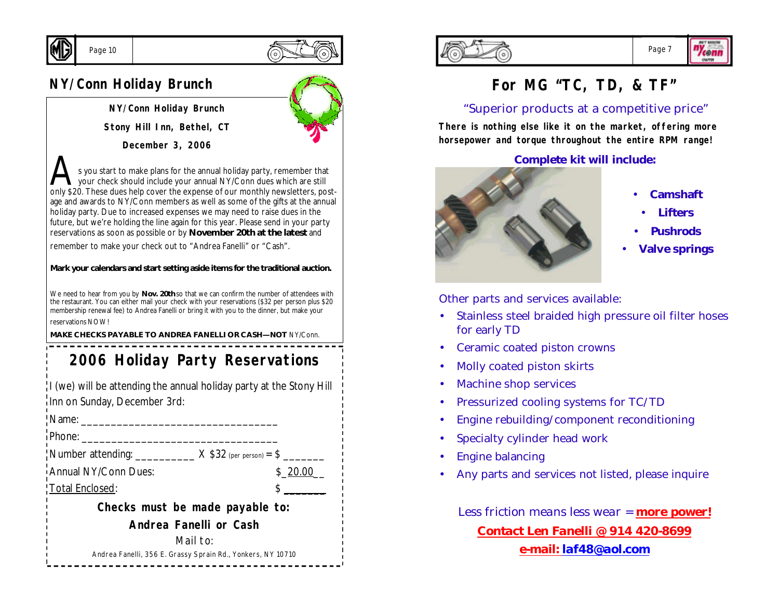

### Page 10



### **NY/Conn Holiday Brunch**

**NY/Conn Holiday Brunch**

**Stony Hill Inn, Bethel, CT**

**December 3, 2006**

s you start to make plans for the annual holiday party, remember that your check should include your annual NY/Conn dues which are still only \$20. These dues help cover the expense of our monthly newsletters, postage and awards to NY/Conn members as well as some of the gifts at the annual holiday party. Due to increased expenses we may need to raise dues in the future, but we're holding the line again for this year. Please send in your party reservations as soon as possible or by **November 20th at the latest** and

remember to make your check out to "Andrea Fanelli" or "Cash".

#### **Mark your calendars and start setting aside items for the traditional auction.**

We need to hear from you by **Nov. 20th** so that we can confirm the number of attendees with the restaurant. You can either mail your check with your reservations (\$32 per person plus \$20 membership renewal fee) to Andrea Fanelli or bring it with you to the dinner, but make your reservations NOW!

**MAKE CHECKS PAYABLE TO ANDREA FANELLI OR CASH—NOT** NY/Conn.

## **2006 Holiday Party Reservations**

I (we) will be attending the annual holiday party at the Stony Hill Inn on Sunday, December 3rd:

| Name: __                                                                            |         |  |  |  |  |
|-------------------------------------------------------------------------------------|---------|--|--|--|--|
| Phone:                                                                              |         |  |  |  |  |
| $\frac{1}{2}$ Number attending: _____________ $\times$ \$32 (per person) = \$ _____ |         |  |  |  |  |
| Annual NY/Conn Dues:                                                                | \$20.00 |  |  |  |  |
| Total Enclosed:                                                                     |         |  |  |  |  |
| Checks must be made payable to:                                                     |         |  |  |  |  |
| Andrea Fanelli or Cash                                                              |         |  |  |  |  |
| Mail to:                                                                            |         |  |  |  |  |
| Andrea Fanelli, 356 E. Grassy Sprain Rd., Yonkers, NY 10710                         |         |  |  |  |  |





**lconn** OWNER

### **For MG "TC, TD, & TF"**

### "Superior products at a competitive price"

**There is nothing else like it on the market, offering more horsepower and torque throughout the entire RPM range!**

#### **Complete kit will include:**



- **Camshaft**
- **Lifters**
- **Pushrods**
- **Valve springs**

Other parts and services available:

- Stainless steel braided high pressure oil filter hoses for early TD
- Ceramic coated piston crowns
- Molly coated piston skirts
- Machine shop services
- Pressurized cooling systems for TC/TD
- Engine rebuilding/component reconditioning
- Specialty cylinder head work
- Engine balancing
- Any parts and services not listed, please inquire

*Less friction means less wear = more power! Contact Len Fanelli @ 914 420-8699 e-mail: laf48@aol.com*